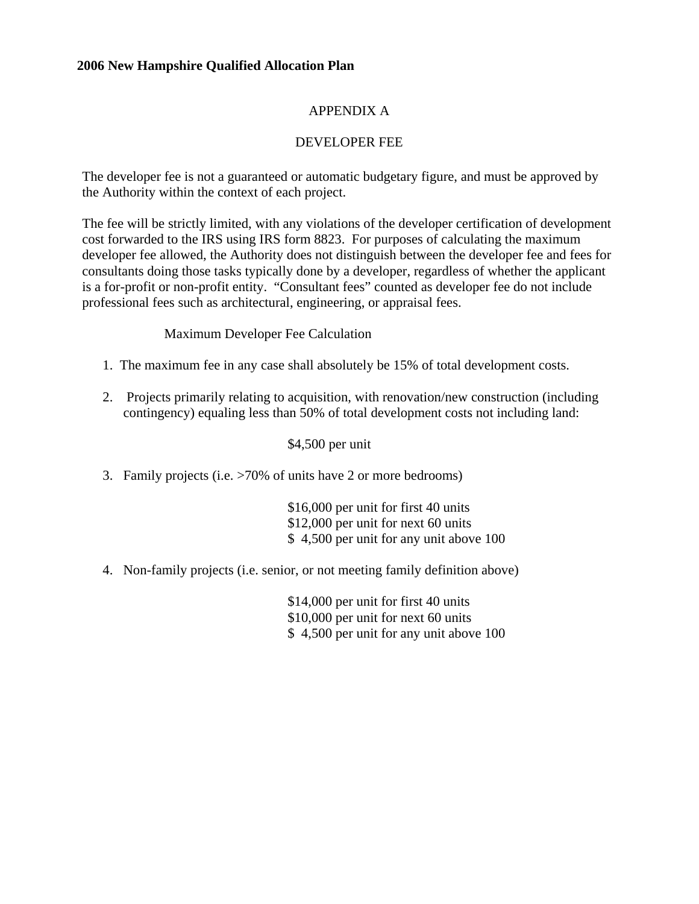# APPENDIX A

# DEVELOPER FEE

The developer fee is not a guaranteed or automatic budgetary figure, and must be approved by the Authority within the context of each project.

The fee will be strictly limited, with any violations of the developer certification of development cost forwarded to the IRS using IRS form 8823. For purposes of calculating the maximum developer fee allowed, the Authority does not distinguish between the developer fee and fees for consultants doing those tasks typically done by a developer, regardless of whether the applicant is a for-profit or non-profit entity. "Consultant fees" counted as developer fee do not include professional fees such as architectural, engineering, or appraisal fees.

### Maximum Developer Fee Calculation

- 1. The maximum fee in any case shall absolutely be 15% of total development costs.
- 2. Projects primarily relating to acquisition, with renovation/new construction (including contingency) equaling less than 50% of total development costs not including land:

\$4,500 per unit

3. Family projects (i.e. >70% of units have 2 or more bedrooms)

\$16,000 per unit for first 40 units \$12,000 per unit for next 60 units \$ 4,500 per unit for any unit above 100

4. Non-family projects (i.e. senior, or not meeting family definition above)

\$14,000 per unit for first 40 units \$10,000 per unit for next 60 units \$ 4,500 per unit for any unit above 100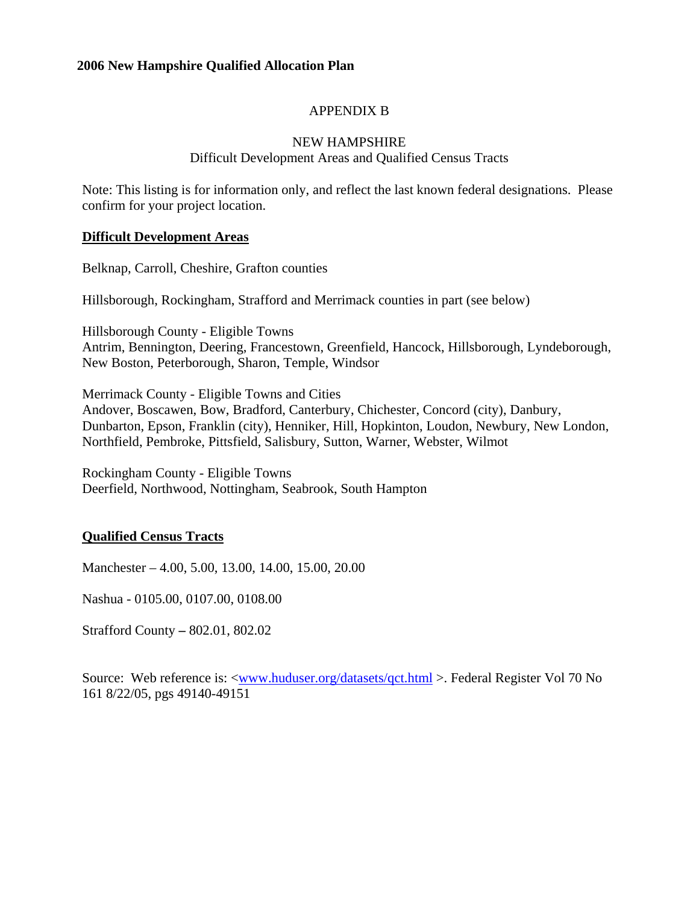# APPENDIX B

#### NEW HAMPSHIRE

### Difficult Development Areas and Qualified Census Tracts

Note: This listing is for information only, and reflect the last known federal designations. Please confirm for your project location.

#### **Difficult Development Areas**

Belknap, Carroll, Cheshire, Grafton counties

Hillsborough, Rockingham, Strafford and Merrimack counties in part (see below)

Hillsborough County - Eligible Towns Antrim, Bennington, Deering, Francestown, Greenfield, Hancock, Hillsborough, Lyndeborough, New Boston, Peterborough, Sharon, Temple, Windsor

Merrimack County - Eligible Towns and Cities Andover, Boscawen, Bow, Bradford, Canterbury, Chichester, Concord (city), Danbury, Dunbarton, Epson, Franklin (city), Henniker, Hill, Hopkinton, Loudon, Newbury, New London, Northfield, Pembroke, Pittsfield, Salisbury, Sutton, Warner, Webster, Wilmot

Rockingham County - Eligible Towns Deerfield, Northwood, Nottingham, Seabrook, South Hampton

# **Qualified Census Tracts**

Manchester – 4.00, 5.00, 13.00, 14.00, 15.00, 20.00

Nashua - 0105.00, 0107.00, 0108.00

Strafford County **–** 802.01, 802.02

Source: Web reference is: [<www.huduser.org/datasets/qct.html](http://www.huduser.org/datasets/qct.html) >. Federal Register Vol 70 No 161 8/22/05, pgs 49140-49151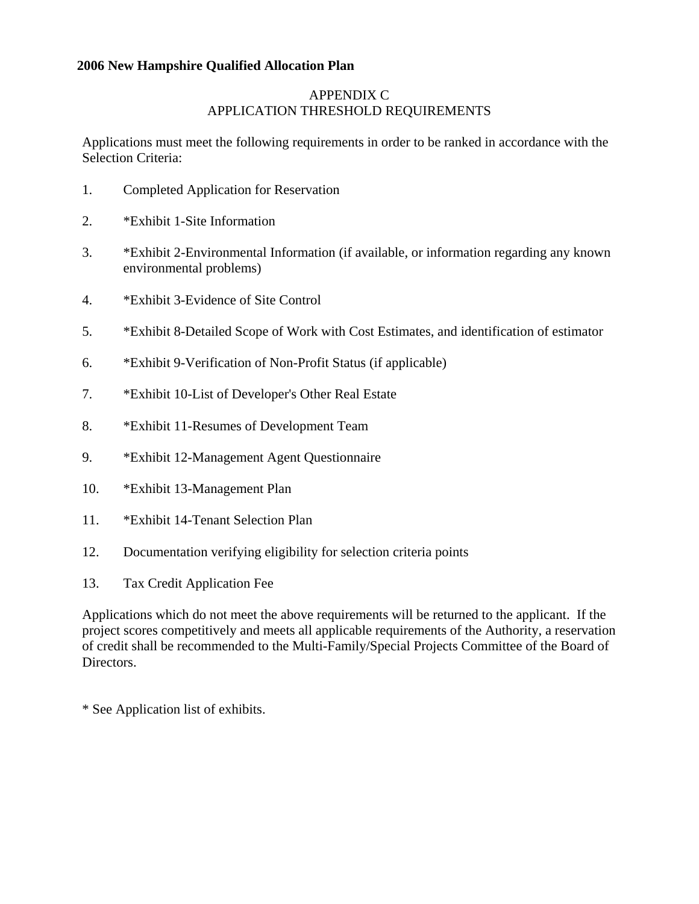# APPENDIX C APPLICATION THRESHOLD REQUIREMENTS

Applications must meet the following requirements in order to be ranked in accordance with the Selection Criteria:

- 1. Completed Application for Reservation
- 2. \*Exhibit 1-Site Information
- 3. \*Exhibit 2-Environmental Information (if available, or information regarding any known environmental problems)
- 4. \*Exhibit 3-Evidence of Site Control
- 5. \*Exhibit 8-Detailed Scope of Work with Cost Estimates, and identification of estimator
- 6. \*Exhibit 9-Verification of Non-Profit Status (if applicable)
- 7. \*Exhibit 10-List of Developer's Other Real Estate
- 8. \*Exhibit 11-Resumes of Development Team
- 9. \*Exhibit 12-Management Agent Questionnaire
- 10. \*Exhibit 13-Management Plan
- 11. \*Exhibit 14-Tenant Selection Plan
- 12. Documentation verifying eligibility for selection criteria points
- 13. Tax Credit Application Fee

Applications which do not meet the above requirements will be returned to the applicant. If the project scores competitively and meets all applicable requirements of the Authority, a reservation of credit shall be recommended to the Multi-Family/Special Projects Committee of the Board of Directors.

\* See Application list of exhibits.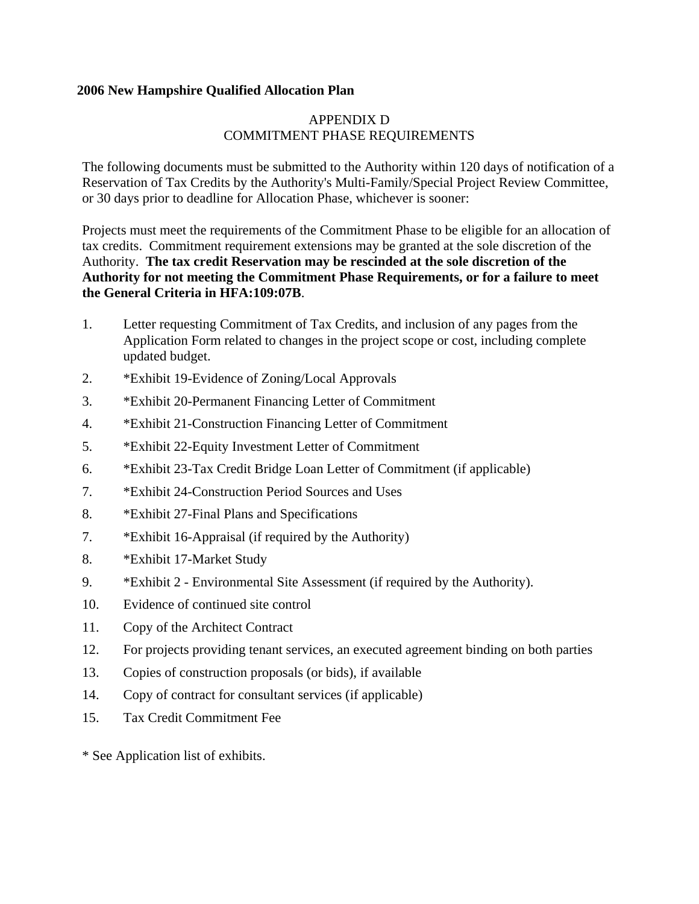# APPENDIX D COMMITMENT PHASE REQUIREMENTS

The following documents must be submitted to the Authority within 120 days of notification of a Reservation of Tax Credits by the Authority's Multi-Family/Special Project Review Committee, or 30 days prior to deadline for Allocation Phase, whichever is sooner:

Projects must meet the requirements of the Commitment Phase to be eligible for an allocation of tax credits. Commitment requirement extensions may be granted at the sole discretion of the Authority. **The tax credit Reservation may be rescinded at the sole discretion of the Authority for not meeting the Commitment Phase Requirements, or for a failure to meet the General Criteria in HFA:109:07B**.

- 1. Letter requesting Commitment of Tax Credits, and inclusion of any pages from the Application Form related to changes in the project scope or cost, including complete updated budget.
- 2. \*Exhibit 19-Evidence of Zoning/Local Approvals
- 3. \*Exhibit 20-Permanent Financing Letter of Commitment
- 4. \*Exhibit 21-Construction Financing Letter of Commitment
- 5. \*Exhibit 22-Equity Investment Letter of Commitment
- 6. \*Exhibit 23-Tax Credit Bridge Loan Letter of Commitment (if applicable)
- 7. \*Exhibit 24-Construction Period Sources and Uses
- 8. \*Exhibit 27-Final Plans and Specifications
- 7. \*Exhibit 16-Appraisal (if required by the Authority)
- 8. \*Exhibit 17-Market Study
- 9. \*Exhibit 2 Environmental Site Assessment (if required by the Authority).
- 10. Evidence of continued site control
- 11. Copy of the Architect Contract
- 12. For projects providing tenant services, an executed agreement binding on both parties
- 13. Copies of construction proposals (or bids), if available
- 14. Copy of contract for consultant services (if applicable)
- 15. Tax Credit Commitment Fee
- \* See Application list of exhibits.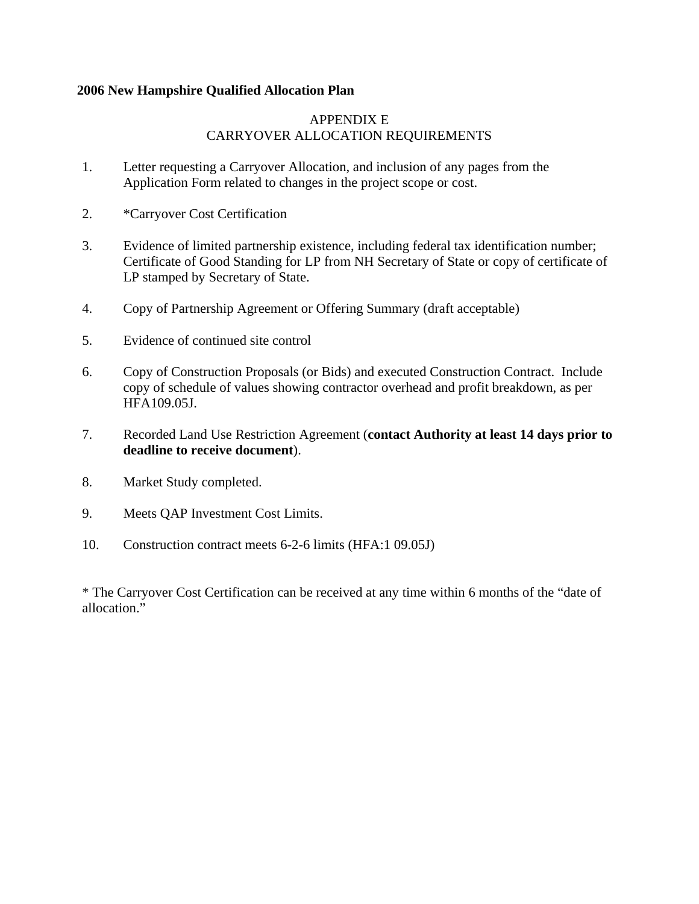# APPENDIX E CARRYOVER ALLOCATION REQUIREMENTS

- 1. Letter requesting a Carryover Allocation, and inclusion of any pages from the Application Form related to changes in the project scope or cost.
- 2. \*Carryover Cost Certification
- 3. Evidence of limited partnership existence, including federal tax identification number; Certificate of Good Standing for LP from NH Secretary of State or copy of certificate of LP stamped by Secretary of State.
- 4. Copy of Partnership Agreement or Offering Summary (draft acceptable)
- 5. Evidence of continued site control
- 6. Copy of Construction Proposals (or Bids) and executed Construction Contract. Include copy of schedule of values showing contractor overhead and profit breakdown, as per HFA109.05J.
- 7. Recorded Land Use Restriction Agreement (**contact Authority at least 14 days prior to deadline to receive document**).
- 8. Market Study completed.
- 9. Meets QAP Investment Cost Limits.
- 10. Construction contract meets 6-2-6 limits (HFA:1 09.05J)

\* The Carryover Cost Certification can be received at any time within 6 months of the "date of allocation."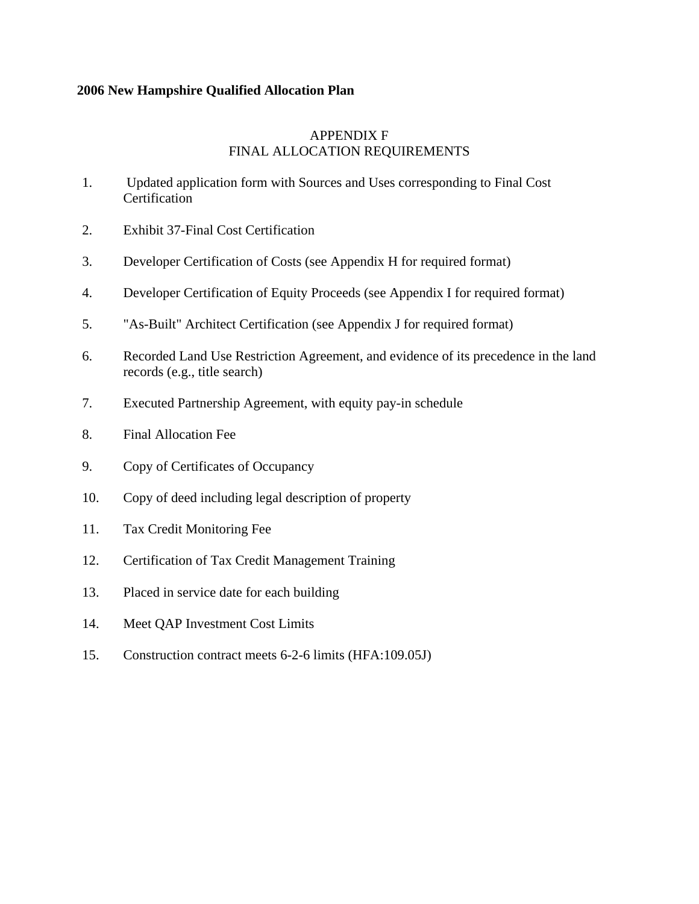### APPENDIX F FINAL ALLOCATION REQUIREMENTS

- 1. Updated application form with Sources and Uses corresponding to Final Cost **Certification**
- 2. Exhibit 37-Final Cost Certification
- 3. Developer Certification of Costs (see Appendix H for required format)
- 4. Developer Certification of Equity Proceeds (see Appendix I for required format)
- 5. "As-Built" Architect Certification (see Appendix J for required format)
- 6. Recorded Land Use Restriction Agreement, and evidence of its precedence in the land records (e.g., title search)
- 7. Executed Partnership Agreement, with equity pay-in schedule
- 8. Final Allocation Fee
- 9. Copy of Certificates of Occupancy
- 10. Copy of deed including legal description of property
- 11. Tax Credit Monitoring Fee
- 12. Certification of Tax Credit Management Training
- 13. Placed in service date for each building
- 14. Meet QAP Investment Cost Limits
- 15. Construction contract meets 6-2-6 limits (HFA:109.05J)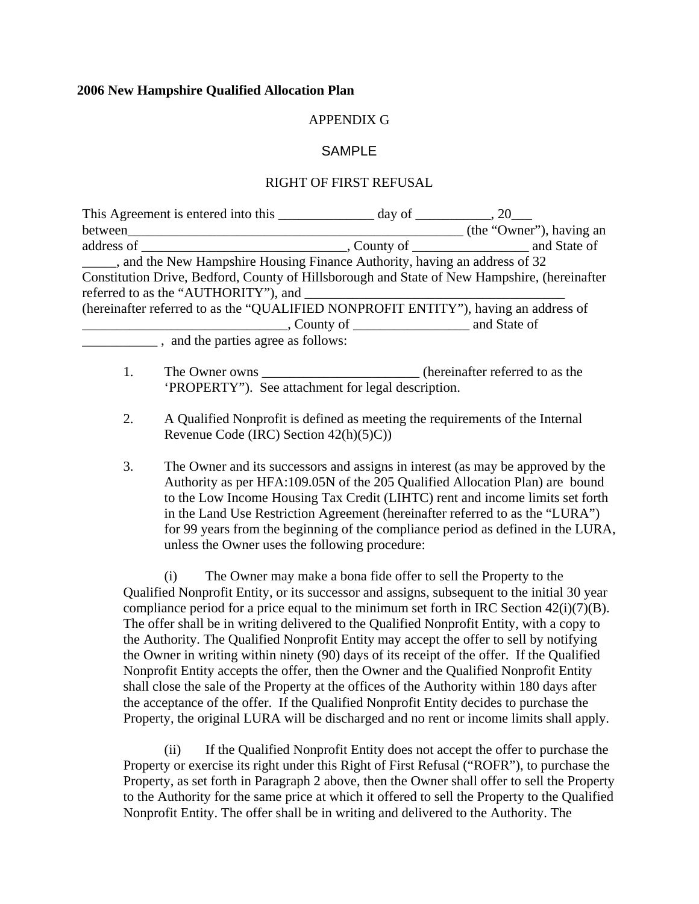### APPENDIX G

### SAMPLE

#### RIGHT OF FIRST REFUSAL

| This Agreement is entered into this $\qquad \qquad$ day of $\qquad \qquad$ , 20              |                          |
|----------------------------------------------------------------------------------------------|--------------------------|
| between                                                                                      | (the "Owner"), having an |
|                                                                                              |                          |
| and the New Hampshire Housing Finance Authority, having an address of 32                     |                          |
| Constitution Drive, Bedford, County of Hillsborough and State of New Hampshire, (hereinafter |                          |
|                                                                                              |                          |
| (hereinafter referred to as the "QUALIFIED NONPROFIT ENTITY"), having an address of          |                          |
|                                                                                              |                          |
| _____, and the parties agree as follows:                                                     |                          |
|                                                                                              |                          |

- 1. The Owner owns **the COV** extends the change of the own change of the change of the change of the change of the change of the change of the change of the change of the change of the change of the change of the change of 'PROPERTY"). See attachment for legal description.
- 2. A Qualified Nonprofit is defined as meeting the requirements of the Internal Revenue Code (IRC) Section 42(h)(5)C))
- 3. The Owner and its successors and assigns in interest (as may be approved by the Authority as per HFA:109.05N of the 205 Qualified Allocation Plan) are bound to the Low Income Housing Tax Credit (LIHTC) rent and income limits set forth in the Land Use Restriction Agreement (hereinafter referred to as the "LURA") for 99 years from the beginning of the compliance period as defined in the LURA, unless the Owner uses the following procedure:

(i) The Owner may make a bona fide offer to sell the Property to the Qualified Nonprofit Entity, or its successor and assigns, subsequent to the initial 30 year compliance period for a price equal to the minimum set forth in IRC Section  $42(i)(7)(B)$ . The offer shall be in writing delivered to the Qualified Nonprofit Entity, with a copy to the Authority. The Qualified Nonprofit Entity may accept the offer to sell by notifying the Owner in writing within ninety (90) days of its receipt of the offer. If the Qualified Nonprofit Entity accepts the offer, then the Owner and the Qualified Nonprofit Entity shall close the sale of the Property at the offices of the Authority within 180 days after the acceptance of the offer. If the Qualified Nonprofit Entity decides to purchase the Property, the original LURA will be discharged and no rent or income limits shall apply.

(ii) If the Qualified Nonprofit Entity does not accept the offer to purchase the Property or exercise its right under this Right of First Refusal ("ROFR"), to purchase the Property, as set forth in Paragraph 2 above, then the Owner shall offer to sell the Property to the Authority for the same price at which it offered to sell the Property to the Qualified Nonprofit Entity. The offer shall be in writing and delivered to the Authority. The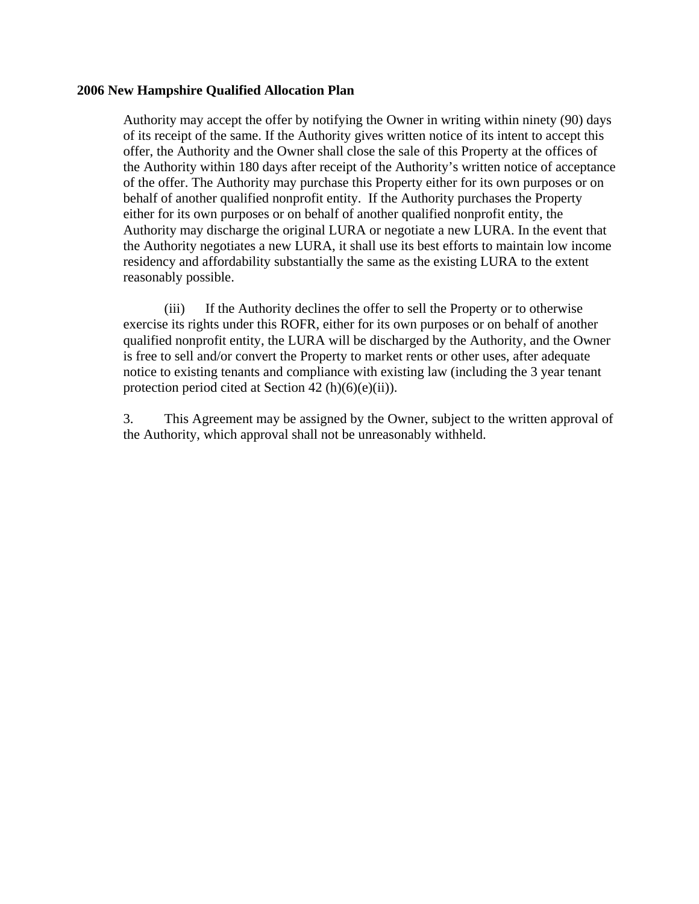Authority may accept the offer by notifying the Owner in writing within ninety (90) days of its receipt of the same. If the Authority gives written notice of its intent to accept this offer, the Authority and the Owner shall close the sale of this Property at the offices of the Authority within 180 days after receipt of the Authority's written notice of acceptance of the offer. The Authority may purchase this Property either for its own purposes or on behalf of another qualified nonprofit entity. If the Authority purchases the Property either for its own purposes or on behalf of another qualified nonprofit entity, the Authority may discharge the original LURA or negotiate a new LURA. In the event that the Authority negotiates a new LURA, it shall use its best efforts to maintain low income residency and affordability substantially the same as the existing LURA to the extent reasonably possible.

(iii) If the Authority declines the offer to sell the Property or to otherwise exercise its rights under this ROFR, either for its own purposes or on behalf of another qualified nonprofit entity, the LURA will be discharged by the Authority, and the Owner is free to sell and/or convert the Property to market rents or other uses, after adequate notice to existing tenants and compliance with existing law (including the 3 year tenant protection period cited at Section 42 (h) $(6)(e)(ii)$ ).

3. This Agreement may be assigned by the Owner, subject to the written approval of the Authority, which approval shall not be unreasonably withheld.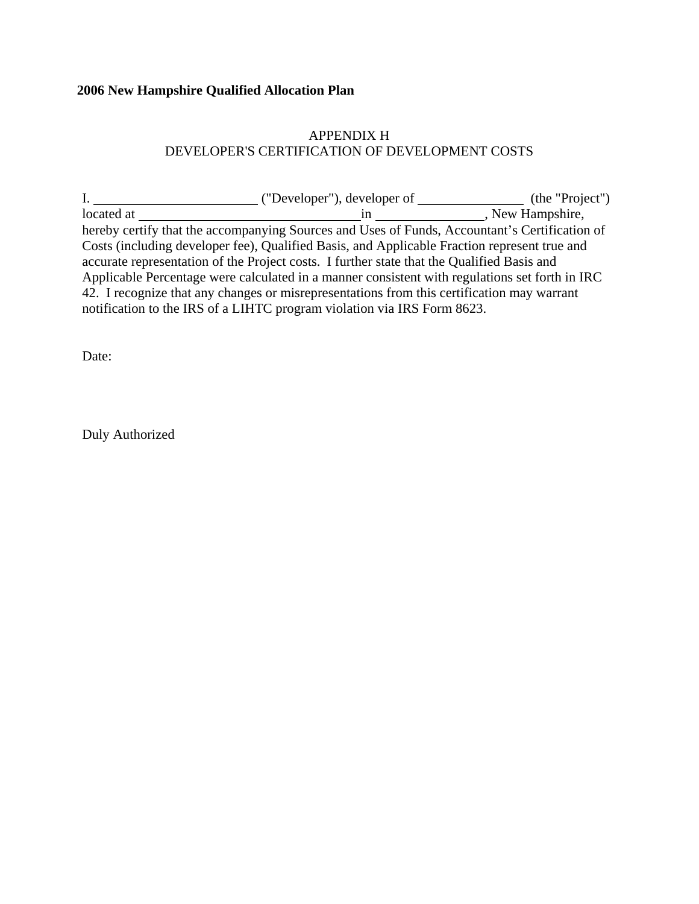# APPENDIX H DEVELOPER'S CERTIFICATION OF DEVELOPMENT COSTS

|            | ("Developer"), developer of                                                                    | (the "Project") |
|------------|------------------------------------------------------------------------------------------------|-----------------|
| located at | ın                                                                                             | New Hampshire,  |
|            | hereby certify that the accompanying Sources and Uses of Funds, Accountant's Certification of  |                 |
|            | Costs (including developer fee), Qualified Basis, and Applicable Fraction represent true and   |                 |
|            | accurate representation of the Project costs. I further state that the Qualified Basis and     |                 |
|            | Applicable Percentage were calculated in a manner consistent with regulations set forth in IRC |                 |
|            | 42. I recognize that any changes or misrepresentations from this certification may warrant     |                 |
|            | notification to the IRS of a LIHTC program violation via IRS Form 8623.                        |                 |

Date:

Duly Authorized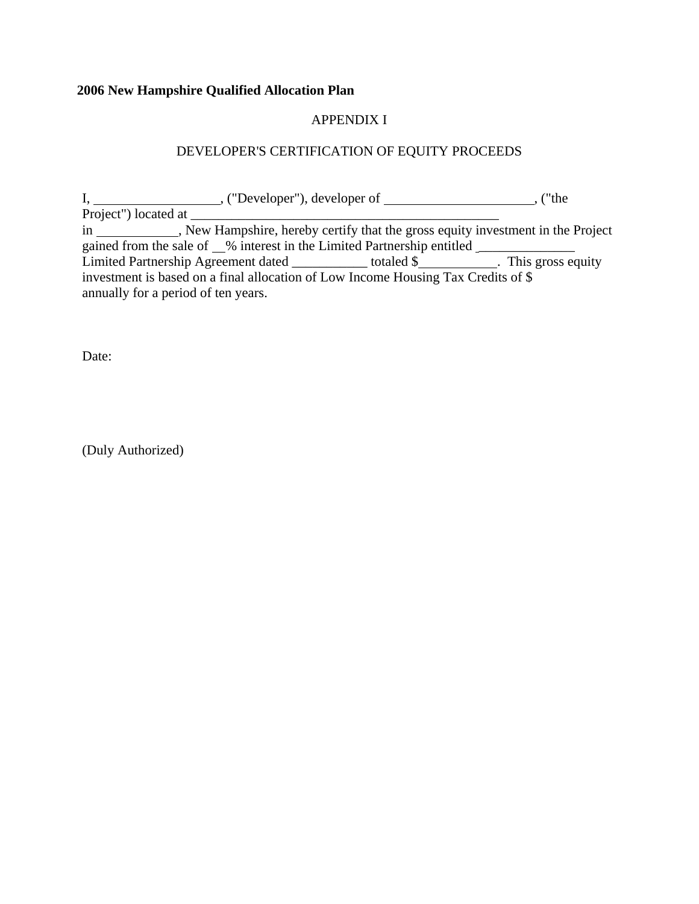# APPENDIX I

# DEVELOPER'S CERTIFICATION OF EQUITY PROCEEDS

|                                     |                                                                                   | $,$ ("Developer"), developer of $\_\_\_\_\_\_\_\_\_\_\_\_\_\_\_\_\_\_\_\_$ | ("the                                                                         |
|-------------------------------------|-----------------------------------------------------------------------------------|----------------------------------------------------------------------------|-------------------------------------------------------------------------------|
| Project") located at ______         |                                                                                   |                                                                            |                                                                               |
|                                     |                                                                                   |                                                                            |                                                                               |
|                                     | gained from the sale of 6 % interest in the Limited Partnership entitled          |                                                                            |                                                                               |
|                                     |                                                                                   |                                                                            | Limited Partnership Agreement dated _____________totaled \$ This gross equity |
|                                     | investment is based on a final allocation of Low Income Housing Tax Credits of \$ |                                                                            |                                                                               |
| annually for a period of ten years. |                                                                                   |                                                                            |                                                                               |

Date:

(Duly Authorized)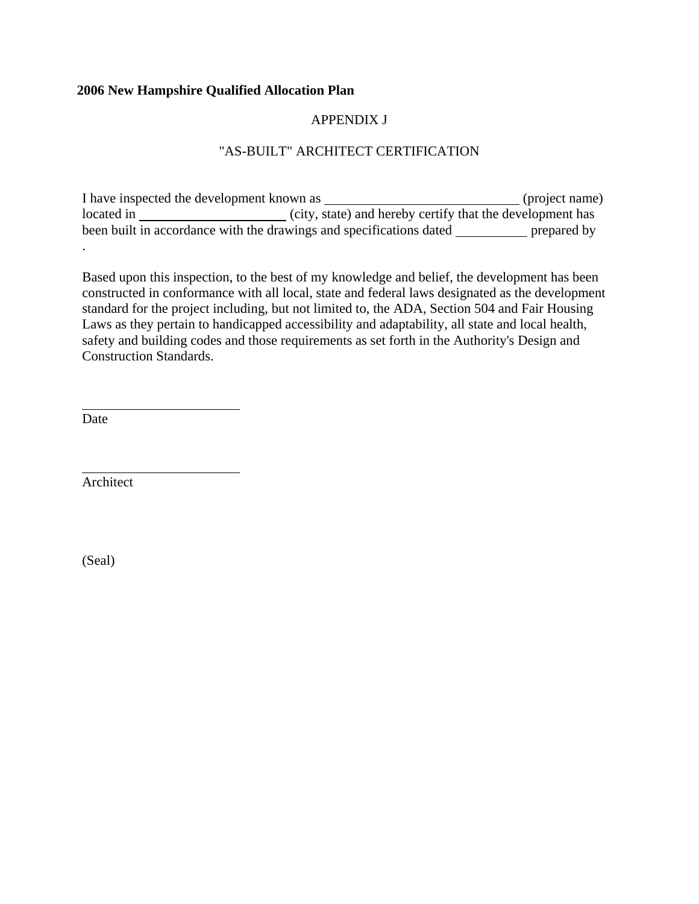# APPENDIX J

# "AS-BUILT" ARCHITECT CERTIFICATION

I have inspected the development known as \_\_\_\_\_\_\_\_\_\_\_\_\_\_\_\_\_\_\_\_\_\_\_\_\_\_\_\_\_\_\_\_(project name) located in  $\frac{c}{1}$  (city, state) and hereby certify that the development has been built in accordance with the drawings and specifications dated prepared by .

Based upon this inspection, to the best of my knowledge and belief, the development has been constructed in conformance with all local, state and federal laws designated as the development standard for the project including, but not limited to, the ADA, Section 504 and Fair Housing Laws as they pertain to handicapped accessibility and adaptability, all state and local health, safety and building codes and those requirements as set forth in the Authority's Design and Construction Standards.

Date

l

 $\overline{a}$ 

Architect

(Seal)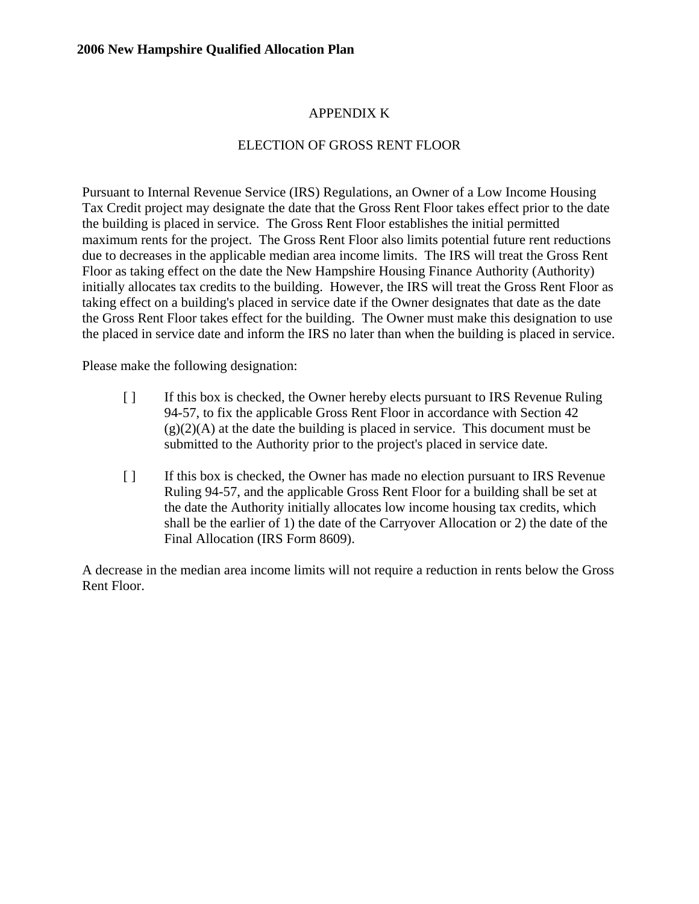# APPENDIX K

# ELECTION OF GROSS RENT FLOOR

Pursuant to Internal Revenue Service (IRS) Regulations, an Owner of a Low Income Housing Tax Credit project may designate the date that the Gross Rent Floor takes effect prior to the date the building is placed in service. The Gross Rent Floor establishes the initial permitted maximum rents for the project. The Gross Rent Floor also limits potential future rent reductions due to decreases in the applicable median area income limits. The IRS will treat the Gross Rent Floor as taking effect on the date the New Hampshire Housing Finance Authority (Authority) initially allocates tax credits to the building. However, the IRS will treat the Gross Rent Floor as taking effect on a building's placed in service date if the Owner designates that date as the date the Gross Rent Floor takes effect for the building. The Owner must make this designation to use the placed in service date and inform the IRS no later than when the building is placed in service.

Please make the following designation:

- [ ] If this box is checked, the Owner hereby elects pursuant to IRS Revenue Ruling 94-57, to fix the applicable Gross Rent Floor in accordance with Section 42  $(g)(2)(A)$  at the date the building is placed in service. This document must be submitted to the Authority prior to the project's placed in service date.
- [ ] If this box is checked, the Owner has made no election pursuant to IRS Revenue Ruling 94-57, and the applicable Gross Rent Floor for a building shall be set at the date the Authority initially allocates low income housing tax credits, which shall be the earlier of 1) the date of the Carryover Allocation or 2) the date of the Final Allocation (IRS Form 8609).

A decrease in the median area income limits will not require a reduction in rents below the Gross Rent Floor.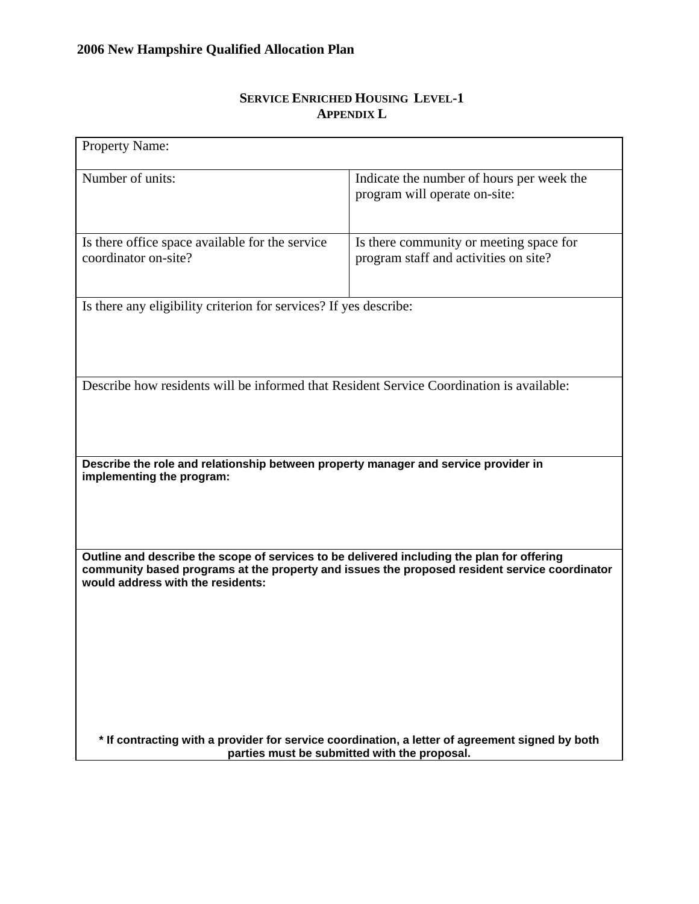| <b>Property Name:</b>                                                                                                                                                                                                            |                                                                                                 |  |  |
|----------------------------------------------------------------------------------------------------------------------------------------------------------------------------------------------------------------------------------|-------------------------------------------------------------------------------------------------|--|--|
| Number of units:                                                                                                                                                                                                                 | Indicate the number of hours per week the<br>program will operate on-site:                      |  |  |
| Is there office space available for the service<br>coordinator on-site?                                                                                                                                                          | Is there community or meeting space for<br>program staff and activities on site?                |  |  |
| Is there any eligibility criterion for services? If yes describe:                                                                                                                                                                |                                                                                                 |  |  |
|                                                                                                                                                                                                                                  |                                                                                                 |  |  |
| Describe how residents will be informed that Resident Service Coordination is available:                                                                                                                                         |                                                                                                 |  |  |
|                                                                                                                                                                                                                                  |                                                                                                 |  |  |
|                                                                                                                                                                                                                                  |                                                                                                 |  |  |
| Describe the role and relationship between property manager and service provider in<br>implementing the program:                                                                                                                 |                                                                                                 |  |  |
|                                                                                                                                                                                                                                  |                                                                                                 |  |  |
|                                                                                                                                                                                                                                  |                                                                                                 |  |  |
| Outline and describe the scope of services to be delivered including the plan for offering<br>community based programs at the property and issues the proposed resident service coordinator<br>would address with the residents: |                                                                                                 |  |  |
|                                                                                                                                                                                                                                  |                                                                                                 |  |  |
|                                                                                                                                                                                                                                  |                                                                                                 |  |  |
|                                                                                                                                                                                                                                  |                                                                                                 |  |  |
|                                                                                                                                                                                                                                  |                                                                                                 |  |  |
|                                                                                                                                                                                                                                  | * If contracting with a provider for service coordination, a letter of agreement signed by both |  |  |
| parties must be submitted with the proposal.                                                                                                                                                                                     |                                                                                                 |  |  |

# **SERVICE ENRICHED HOUSING LEVEL-1 APPENDIX L**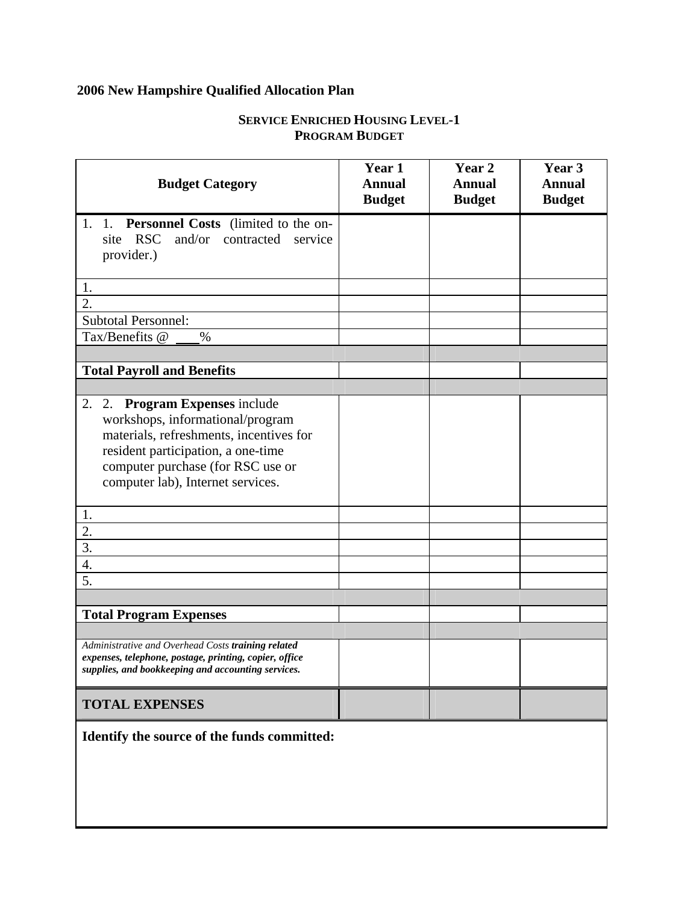| <b>Budget Category</b>                                                                                       | Year 1<br><b>Annual</b><br><b>Budget</b> | Year <sub>2</sub><br><b>Annual</b><br><b>Budget</b> | Year 3<br><b>Annual</b><br><b>Budget</b> |
|--------------------------------------------------------------------------------------------------------------|------------------------------------------|-----------------------------------------------------|------------------------------------------|
| 1. Personnel Costs (limited to the on-<br>1.                                                                 |                                          |                                                     |                                          |
| <b>RSC</b><br>and/or<br>contracted<br>site<br>service                                                        |                                          |                                                     |                                          |
| provider.)                                                                                                   |                                          |                                                     |                                          |
|                                                                                                              |                                          |                                                     |                                          |
| 1.                                                                                                           |                                          |                                                     |                                          |
| $\overline{2}$ .                                                                                             |                                          |                                                     |                                          |
| <b>Subtotal Personnel:</b>                                                                                   |                                          |                                                     |                                          |
| Tax/Benefits @<br>$\frac{0}{0}$                                                                              |                                          |                                                     |                                          |
|                                                                                                              |                                          |                                                     |                                          |
| <b>Total Payroll and Benefits</b>                                                                            |                                          |                                                     |                                          |
| 2.                                                                                                           |                                          |                                                     |                                          |
| 2. Program Expenses include<br>workshops, informational/program                                              |                                          |                                                     |                                          |
| materials, refreshments, incentives for                                                                      |                                          |                                                     |                                          |
| resident participation, a one-time                                                                           |                                          |                                                     |                                          |
| computer purchase (for RSC use or                                                                            |                                          |                                                     |                                          |
| computer lab), Internet services.                                                                            |                                          |                                                     |                                          |
|                                                                                                              |                                          |                                                     |                                          |
| 1.                                                                                                           |                                          |                                                     |                                          |
| $\overline{2}$ .                                                                                             |                                          |                                                     |                                          |
| 3.                                                                                                           |                                          |                                                     |                                          |
| 4.                                                                                                           |                                          |                                                     |                                          |
| 5.                                                                                                           |                                          |                                                     |                                          |
|                                                                                                              |                                          |                                                     |                                          |
| <b>Total Program Expenses</b>                                                                                |                                          |                                                     |                                          |
|                                                                                                              |                                          |                                                     |                                          |
| Administrative and Overhead Costs training related                                                           |                                          |                                                     |                                          |
| expenses, telephone, postage, printing, copier, office<br>supplies, and bookkeeping and accounting services. |                                          |                                                     |                                          |
|                                                                                                              |                                          |                                                     |                                          |
| <b>TOTAL EXPENSES</b>                                                                                        |                                          |                                                     |                                          |

# **SERVICE ENRICHED HOUSING LEVEL-1 PROGRAM BUDGET**

**Identify the source of the funds committed:**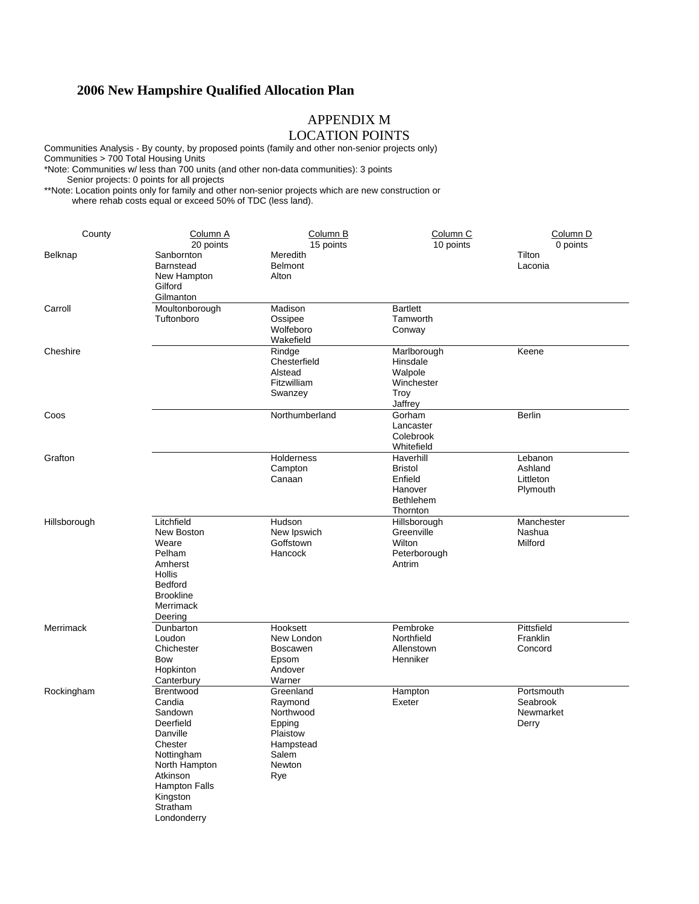### APPENDIX M

# LOCATION POINTS

Communities Analysis - By county, by proposed points (family and other non-senior projects only) Communities > 700 Total Housing Units \*Note: Communities w/ less than 700 units (and other non-data communities): 3 points

Senior projects: 0 points for all projects

\*\*Note: Location points only for family and other non-senior projects which are new construction or where rehab costs equal or exceed 50% of TDC (less land).

| County       | Column A<br>20 points                                                                                                                                                        | Column <sub>B</sub><br>15 points                                                                      | Column <sub>C</sub><br>10 points                                                  | Column <sub>D</sub><br>0 points              |
|--------------|------------------------------------------------------------------------------------------------------------------------------------------------------------------------------|-------------------------------------------------------------------------------------------------------|-----------------------------------------------------------------------------------|----------------------------------------------|
| Belknap      | Sanbornton<br><b>Barnstead</b><br>New Hampton<br>Gilford<br>Gilmanton                                                                                                        | Meredith<br><b>Belmont</b><br>Alton                                                                   |                                                                                   | Tilton<br>Laconia                            |
| Carroll      | Moultonborough<br>Tuftonboro                                                                                                                                                 | Madison<br>Ossipee<br>Wolfeboro<br>Wakefield                                                          | <b>Bartlett</b><br>Tamworth<br>Conway                                             |                                              |
| Cheshire     |                                                                                                                                                                              | Rindge<br>Chesterfield<br>Alstead<br>Fitzwilliam<br>Swanzey                                           | Marlborough<br>Hinsdale<br>Walpole<br>Winchester<br>Troy<br>Jaffrey               | Keene                                        |
| Coos         |                                                                                                                                                                              | Northumberland                                                                                        | Gorham<br>Lancaster<br>Colebrook<br>Whitefield                                    | <b>Berlin</b>                                |
| Grafton      |                                                                                                                                                                              | <b>Holderness</b><br>Campton<br>Canaan                                                                | Haverhill<br><b>Bristol</b><br>Enfield<br>Hanover<br><b>Bethlehem</b><br>Thornton | Lebanon<br>Ashland<br>Littleton<br>Plymouth  |
| Hillsborough | Litchfield<br>New Boston<br>Weare<br>Pelham<br>Amherst<br>Hollis<br>Bedford<br><b>Brookline</b><br>Merrimack<br>Deering                                                      | Hudson<br>New Ipswich<br>Goffstown<br>Hancock                                                         | Hillsborough<br>Greenville<br>Wilton<br>Peterborough<br>Antrim                    | Manchester<br>Nashua<br>Milford              |
| Merrimack    | Dunbarton<br>Loudon<br>Chichester<br>Bow<br>Hopkinton<br>Canterbury                                                                                                          | Hooksett<br>New London<br><b>Boscawen</b><br>Epsom<br>Andover<br>Warner                               | Pembroke<br>Northfield<br>Allenstown<br>Henniker                                  | Pittsfield<br>Franklin<br>Concord            |
| Rockingham   | Brentwood<br>Candia<br>Sandown<br>Deerfield<br>Danville<br>Chester<br>Nottingham<br>North Hampton<br>Atkinson<br><b>Hampton Falls</b><br>Kingston<br>Stratham<br>Londonderry | Greenland<br>Raymond<br>Northwood<br>Epping<br>Plaistow<br>Hampstead<br>Salem<br><b>Newton</b><br>Rye | Hampton<br>Exeter                                                                 | Portsmouth<br>Seabrook<br>Newmarket<br>Derry |